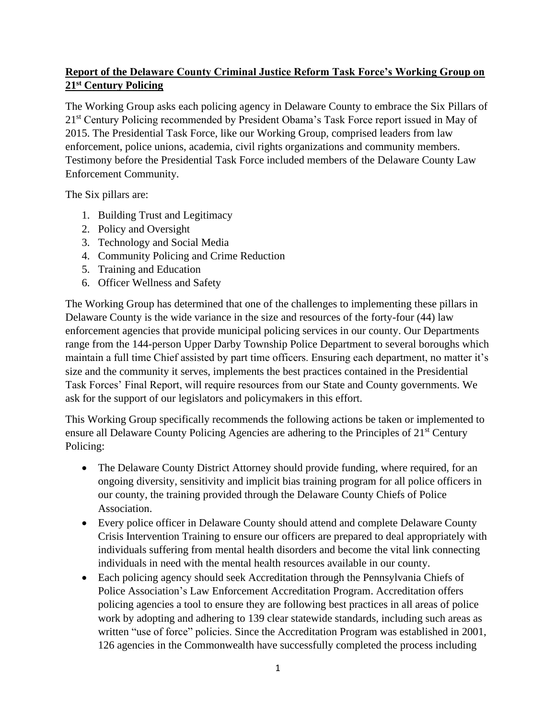## **Report of the Delaware County Criminal Justice Reform Task Force's Working Group on 21st Century Policing**

The Working Group asks each policing agency in Delaware County to embrace the Six Pillars of 21<sup>st</sup> Century Policing recommended by President Obama's Task Force report issued in May of 2015. The Presidential Task Force, like our Working Group, comprised leaders from law enforcement, police unions, academia, civil rights organizations and community members. Testimony before the Presidential Task Force included members of the Delaware County Law Enforcement Community.

The Six pillars are:

- 1. Building Trust and Legitimacy
- 2. Policy and Oversight
- 3. Technology and Social Media
- 4. Community Policing and Crime Reduction
- 5. Training and Education
- 6. Officer Wellness and Safety

The Working Group has determined that one of the challenges to implementing these pillars in Delaware County is the wide variance in the size and resources of the forty-four (44) law enforcement agencies that provide municipal policing services in our county. Our Departments range from the 144-person Upper Darby Township Police Department to several boroughs which maintain a full time Chief assisted by part time officers. Ensuring each department, no matter it's size and the community it serves, implements the best practices contained in the Presidential Task Forces' Final Report, will require resources from our State and County governments. We ask for the support of our legislators and policymakers in this effort.

This Working Group specifically recommends the following actions be taken or implemented to ensure all Delaware County Policing Agencies are adhering to the Principles of 21<sup>st</sup> Century Policing:

- The Delaware County District Attorney should provide funding, where required, for an ongoing diversity, sensitivity and implicit bias training program for all police officers in our county, the training provided through the Delaware County Chiefs of Police Association.
- Every police officer in Delaware County should attend and complete Delaware County Crisis Intervention Training to ensure our officers are prepared to deal appropriately with individuals suffering from mental health disorders and become the vital link connecting individuals in need with the mental health resources available in our county.
- Each policing agency should seek Accreditation through the Pennsylvania Chiefs of Police Association's Law Enforcement Accreditation Program. Accreditation offers policing agencies a tool to ensure they are following best practices in all areas of police work by adopting and adhering to 139 clear statewide standards, including such areas as written "use of force" policies. Since the Accreditation Program was established in 2001, 126 agencies in the Commonwealth have successfully completed the process including